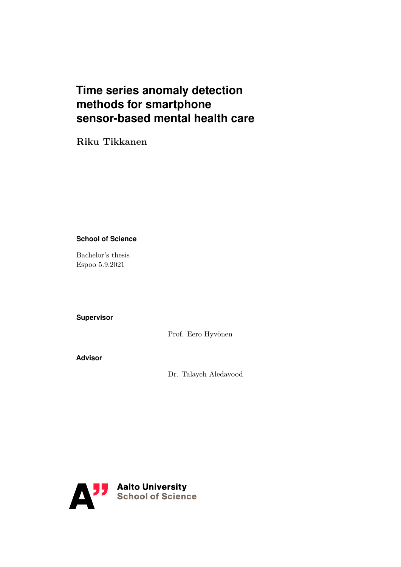# **Time series anomaly detection methods for smartphone sensor-based mental health care**

## **Riku Tikkanen**

### **School of Science**

Bachelor's thesis Espoo 5.9.2021

### **Supervisor**

Prof. Eero Hyvönen

**Advisor**

Dr. Talayeh Aledavood

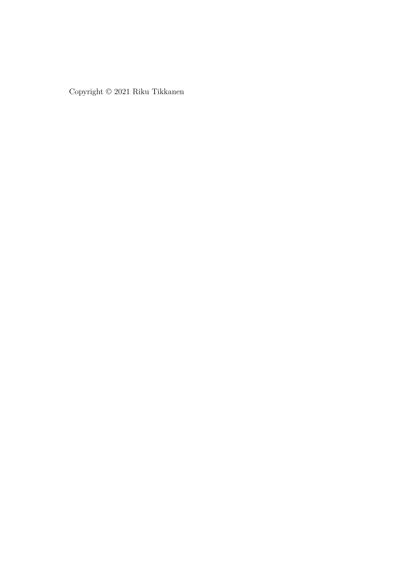Copyright © 2021 Riku Tikkanen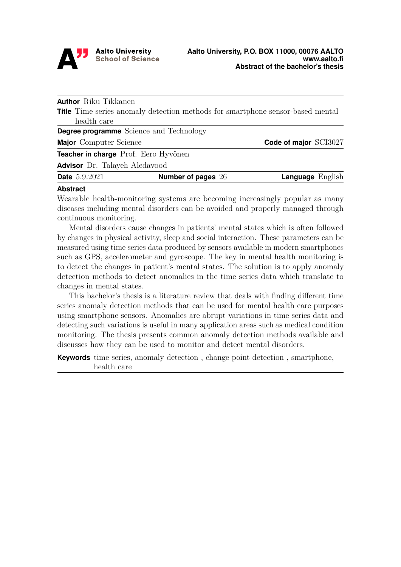

<span id="page-2-0"></span>

| <b>Author</b> Riku Tikkanen                    |                                                                                       |                         |
|------------------------------------------------|---------------------------------------------------------------------------------------|-------------------------|
|                                                | <b>Title</b> Time series anomaly detection methods for smartphone sensor-based mental |                         |
| health care                                    |                                                                                       |                         |
| <b>Degree programme</b> Science and Technology |                                                                                       |                         |
| <b>Major</b> Computer Science                  |                                                                                       | Code of major SCI3027   |
| Teacher in charge Prof. Eero Hyvönen           |                                                                                       |                         |
| <b>Advisor</b> Dr. Talayeh Aledavood           |                                                                                       |                         |
| <b>Date</b> 5.9.2021                           | Number of pages 26                                                                    | <b>Language</b> English |
| .                                              |                                                                                       |                         |

### **Abstract**

Wearable health-monitoring systems are becoming increasingly popular as many diseases including mental disorders can be avoided and properly managed through continuous monitoring.

Mental disorders cause changes in patients' mental states which is often followed by changes in physical activity, sleep and social interaction. These parameters can be measured using time series data produced by sensors available in modern smartphones such as GPS, accelerometer and gyroscope. The key in mental health monitoring is to detect the changes in patient's mental states. The solution is to apply anomaly detection methods to detect anomalies in the time series data which translate to changes in mental states.

This bachelor's thesis is a literature review that deals with finding different time series anomaly detection methods that can be used for mental health care purposes using smartphone sensors. Anomalies are abrupt variations in time series data and detecting such variations is useful in many application areas such as medical condition monitoring. The thesis presents common anomaly detection methods available and discusses how they can be used to monitor and detect mental disorders.

**Keywords** time series, anomaly detection , change point detection , smartphone, health care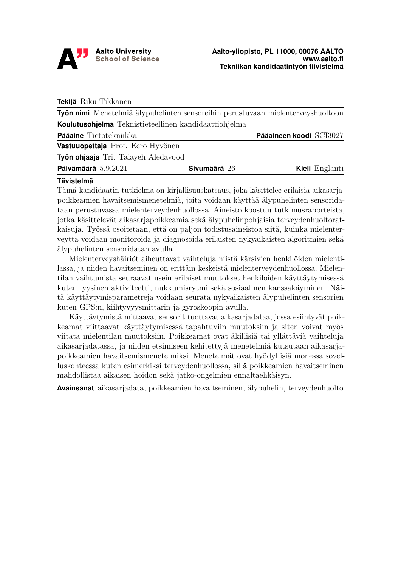

<span id="page-3-0"></span>

| Tekijä Riku Tikkanen                                                             |              |                         |                |
|----------------------------------------------------------------------------------|--------------|-------------------------|----------------|
| Työn nimi Menetelmiä älypuhelinten sensoreihin perustuvaan mielenterveyshuoltoon |              |                         |                |
| Koulutusohjelma Teknistieteellinen kandidaattiohjelma                            |              |                         |                |
| Pääaine Tietotekniikka                                                           |              | Pääaineen koodi SCI3027 |                |
| Vastuuopettaja Prof. Eero Hyvönen                                                |              |                         |                |
| Työn ohjaaja Tri. Talayeh Aledavood                                              |              |                         |                |
| Päivämäärä 5.9.2021                                                              | Sivumäärä 26 |                         | Kieli Englanti |

#### **Tiivistelmä**

Tämä kandidaatin tutkielma on kirjallisuuskatsaus, joka käsittelee erilaisia aikasarjapoikkeamien havaitsemismenetelmiä, joita voidaan käyttää älypuhelinten sensoridataan perustuvassa mielenterveydenhuollossa. Aineisto koostuu tutkimusraporteista, jotka käsittelevät aikasarjapoikkeamia sekä älypuhelinpohjaisia terveydenhuoltoratkaisuja. Työssä osoitetaan, että on paljon todistusaineistoa siitä, kuinka mielenterveyttä voidaan monitoroida ja diagnosoida erilaisten nykyaikaisten algoritmien sekä älypuhelinten sensoridatan avulla.

Mielenterveyshäiriöt aiheuttavat vaihteluja niistä kärsivien henkilöiden mielentilassa, ja niiden havaitseminen on erittäin keskeistä mielenterveydenhuollossa. Mielentilan vaihtumista seuraavat usein erilaiset muutokset henkilöiden käyttäytymisessä kuten fyysinen aktiviteetti, nukkumisrytmi sekä sosiaalinen kanssakäyminen. Näitä käyttäytymisparametreja voidaan seurata nykyaikaisten älypuhelinten sensorien kuten GPS:n, kiihtyvyysmittarin ja gyroskoopin avulla.

Käyttäytymistä mittaavat sensorit tuottavat aikasarjadataa, jossa esiintyvät poikkeamat viittaavat käyttäytymisessä tapahtuviin muutoksiin ja siten voivat myös viitata mielentilan muutoksiin. Poikkeamat ovat äkillisiä tai yllättäviä vaihteluja aikasarjadatassa, ja niiden etsimiseen kehitettyjä menetelmiä kutsutaan aikasarjapoikkeamien havaitsemismenetelmiksi. Menetelmät ovat hyödyllisiä monessa sovelluskohteessa kuten esimerkiksi terveydenhuollossa, sillä poikkeamien havaitseminen mahdollistaa aikaisen hoidon sekä jatko-ongelmien ennaltaehkäisyn.

**Avainsanat** aikasarjadata, poikkeamien havaitseminen, älypuhelin, terveydenhuolto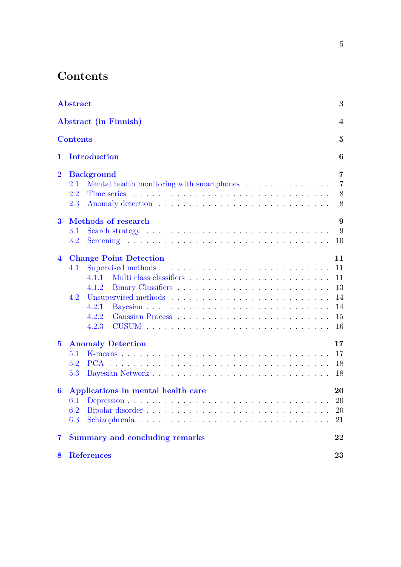# **Contents**

|                  | <b>Abstract</b><br><b>Abstract</b> (in Finnish)  |                |  |  |  |
|------------------|--------------------------------------------------|----------------|--|--|--|
|                  |                                                  |                |  |  |  |
| <b>Contents</b>  |                                                  |                |  |  |  |
| 1                | <b>Introduction</b>                              |                |  |  |  |
| $\overline{2}$   | <b>Background</b>                                | $\overline{7}$ |  |  |  |
|                  | Mental health monitoring with smartphones<br>2.1 | $\overline{7}$ |  |  |  |
|                  | 2.2                                              | 8              |  |  |  |
|                  | 2.3                                              | 8              |  |  |  |
| $\bf{3}$         | Methods of research                              | 9              |  |  |  |
|                  | 3.1                                              | 9              |  |  |  |
|                  | 3.2                                              | 10             |  |  |  |
| $\overline{4}$   | <b>Change Point Detection</b><br>11              |                |  |  |  |
|                  | Supervised methods<br>4.1                        | 11             |  |  |  |
|                  | 4 1 1                                            | 11             |  |  |  |
|                  | 4.1.2                                            | 13             |  |  |  |
|                  | 4.2                                              | 14             |  |  |  |
|                  | 4.2.1                                            | 14             |  |  |  |
|                  | 4.2.2                                            | 15             |  |  |  |
|                  | 4.2.3                                            | 16             |  |  |  |
| $\mathbf{5}$     | <b>Anomaly Detection</b>                         | 17             |  |  |  |
|                  | 5.1                                              | 17             |  |  |  |
|                  | 5.2                                              | 18             |  |  |  |
|                  | 5.3                                              | 18             |  |  |  |
| $\boldsymbol{6}$ | Applications in mental health care               | 20             |  |  |  |
|                  | 6.1 Depression                                   | 20             |  |  |  |
|                  | 6.2                                              | 20             |  |  |  |
|                  | 6.3                                              | 21             |  |  |  |
| $\overline{7}$   | <b>Summary and concluding remarks</b>            | 22             |  |  |  |
| 8                | <b>References</b>                                | 23             |  |  |  |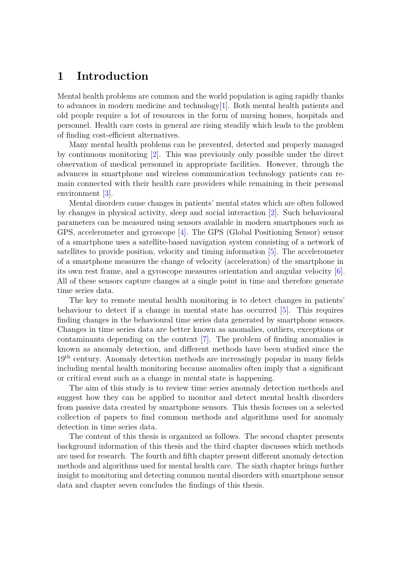## <span id="page-5-0"></span>**1 Introduction**

Mental health problems are common and the world population is aging rapidly thanks to advances in modern medicine and technology $[1]$ . Both mental health patients and old people require a lot of resources in the form of nursing homes, hospitals and personnel. Health care costs in general are rising steadily which leads to the problem of finding cost-efficient alternatives.

Many mental health problems can be prevented, detected and properly managed by continuous monitoring [\[2\]](#page-22-2). This was previously only possible under the direct observation of medical personnel in appropriate facilities. However, through the advances in smartphone and wireless communication technology patients can remain connected with their health care providers while remaining in their personal environment [\[3\]](#page-22-3).

Mental disorders cause changes in patients' mental states which are often followed by changes in physical activity, sleep and social interaction [\[2\]](#page-22-2). Such behavioural parameters can be measured using sensors available in modern smartphones such as GPS, accelerometer and gyroscope [\[4\]](#page-22-4). The GPS (Global Positioning Sensor) sensor of a smartphone uses a satellite-based navigation system consisting of a network of satellites to provide position, velocity and timing information [\[5\]](#page-22-5). The accelerometer of a smartphone measures the change of velocity (acceleration) of the smartphone in its own rest frame, and a gyroscope measures orientation and angular velocity [\[6\]](#page-22-6). All of these sensors capture changes at a single point in time and therefore generate time series data.

The key to remote mental health monitoring is to detect changes in patients' behaviour to detect if a change in mental state has occurred [\[5\]](#page-22-5). This requires finding changes in the behavioural time series data generated by smartphone sensors. Changes in time series data are better known as anomalies, outliers, exceptions or contaminants depending on the context [\[7\]](#page-22-7). The problem of finding anomalies is known as anomaly detection, and different methods have been studied since the 19th century. Anomaly detection methods are increasingly popular in many fields including mental health monitoring because anomalies often imply that a significant or critical event such as a change in mental state is happening.

The aim of this study is to review time series anomaly detection methods and suggest how they can be applied to monitor and detect mental health disorders from passive data created by smartphone sensors. This thesis focuses on a selected collection of papers to find common methods and algorithms used for anomaly detection in time series data.

The content of this thesis is organized as follows. The second chapter presents background information of this thesis and the third chapter discusses which methods are used for research. The fourth and fifth chapter present different anomaly detection methods and algorithms used for mental health care. The sixth chapter brings further insight to monitoring and detecting common mental disorders with smartphone sensor data and chapter seven concludes the findings of this thesis.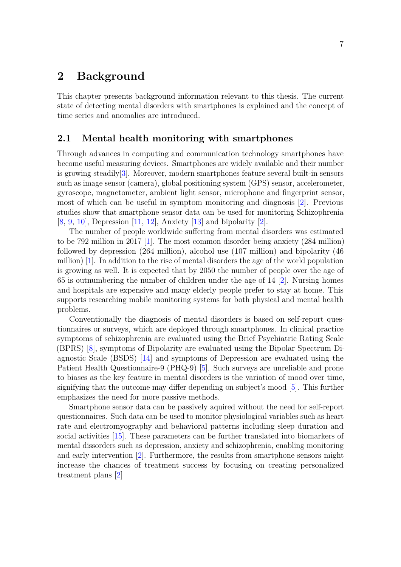## <span id="page-6-0"></span>**2 Background**

This chapter presents background information relevant to this thesis. The current state of detecting mental disorders with smartphones is explained and the concept of time series and anomalies are introduced.

### <span id="page-6-1"></span>**2.1 Mental health monitoring with smartphones**

Through advances in computing and communication technology smartphones have become useful measuring devices. Smartphones are widely available and their number is growing steadily[\[3\]](#page-22-3). Moreover, modern smartphones feature several built-in sensors such as image sensor (camera), global positioning system (GPS) sensor, accelerometer, gyroscope, magnetometer, ambient light sensor, microphone and fingerprint sensor, most of which can be useful in symptom monitoring and diagnosis [\[2\]](#page-22-2). Previous studies show that smartphone sensor data can be used for monitoring Schizophrenia [\[8,](#page-22-8) [9,](#page-22-9) [10\]](#page-22-10), Depression [\[11,](#page-22-11) [12\]](#page-22-12), Anxiety [\[13\]](#page-22-13) and bipolarity [\[2\]](#page-22-2).

The number of people worldwide suffering from mental disorders was estimated to be 792 million in 2017 [\[1\]](#page-22-1). The most common disorder being anxiety (284 million) followed by depression (264 million), alcohol use (107 million) and bipolarity (46 million) [\[1\]](#page-22-1). In addition to the rise of mental disorders the age of the world population is growing as well. It is expected that by 2050 the number of people over the age of 65 is outnumbering the number of children under the age of 14 [\[2\]](#page-22-2). Nursing homes and hospitals are expensive and many elderly people prefer to stay at home. This supports researching mobile monitoring systems for both physical and mental health problems.

Conventionally the diagnosis of mental disorders is based on self-report questionnaires or surveys, which are deployed through smartphones. In clinical practice symptoms of schizophrenia are evaluated using the Brief Psychiatric Rating Scale (BPRS) [\[8\]](#page-22-8), symptoms of Bipolarity are evaluated using the Bipolar Spectrum Diagnostic Scale (BSDS) [\[14\]](#page-23-0) and symptoms of Depression are evaluated using the Patient Health Questionnaire-9 (PHQ-9) [\[5\]](#page-22-5). Such surveys are unreliable and prone to biases as the key feature in mental disorders is the variation of mood over time, signifying that the outcome may differ depending on subject's mood [\[5\]](#page-22-5). This further emphasizes the need for more passive methods.

<span id="page-6-2"></span>Smartphone sensor data can be passively aquired without the need for self-report questionnaires. Such data can be used to monitor physiological variables such as heart rate and electromyography and behavioral patterns including sleep duration and social activities [\[15\]](#page-23-1). These parameters can be further translated into biomarkers of mental dissorders such as depression, anxiety and schizophrenia, enabling monitoring and early intervention [\[2\]](#page-22-2). Furthermore, the results from smartphone sensors might increase the chances of treatment success by focusing on creating personalized treatment plans [\[2\]](#page-22-2)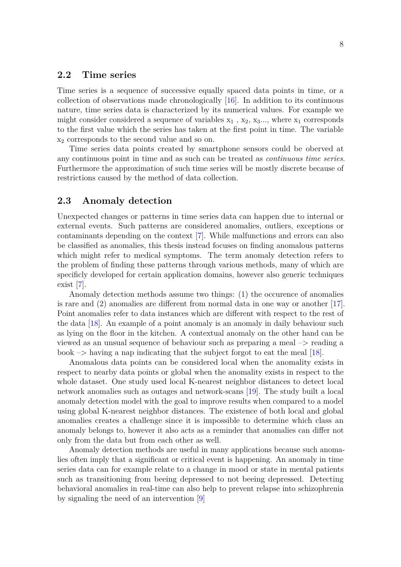### **2.2 Time series**

Time series is a sequence of successive equally spaced data points in time, or a collection of observations made chronologically [\[16\]](#page-23-2). In addition to its continuous nature, time series data is characterized by its numerical values. For example we might consider considered a sequence of variables  $x_1$ ,  $x_2$ ,  $x_3...$ , where  $x_1$  corresponds to the first value which the series has taken at the first point in time. The variable x<sup>2</sup> corresponds to the second value and so on.

Time series data points created by smartphone sensors could be oberved at any continuous point in time and as such can be treated as *continuous time series*. Furthermore the approximation of such time series will be mostly discrete because of restrictions caused by the method of data collection.

### <span id="page-7-0"></span>**2.3 Anomaly detection**

Unexpected changes or patterns in time series data can happen due to internal or external events. Such patterns are considered anomalies, outliers, exceptions or contaminants depending on the context [\[7\]](#page-22-7). While malfunctions and errors can also be classified as anomalies, this thesis instead focuses on finding anomalous patterns which might refer to medical symptoms. The term anomaly detection refers to the problem of finding these patterns through various methods, many of which are specificly developed for certain application domains, however also generic techniques exist [\[7\]](#page-22-7).

Anomaly detection methods assume two things: (1) the occurence of anomalies is rare and (2) anomalies are different from normal data in one way or another [\[17\]](#page-23-3). Point anomalies refer to data instances which are different with respect to the rest of the data [\[18\]](#page-23-4). An example of a point anomaly is an anomaly in daily behaviour such as lying on the floor in the kitchen. A contextual anomaly on the other hand can be viewed as an unsual sequence of behaviour such as preparing a meal –> reading a book  $\rightarrow$  having a nap indicating that the subject forgot to eat the meal [\[18\]](#page-23-4).

Anomalous data points can be considered local when the anomality exists in respect to nearby data points or global when the anomality exists in respect to the whole dataset. One study used local K-nearest neighbor distances to detect local network anomalies such as outages and network-scans [\[19\]](#page-23-5). The study built a local anomaly detection model with the goal to improve results when compared to a model using global K-nearest neighbor distances. The existence of both local and global anomalies creates a challenge since it is impossible to determine which class an anomaly belongs to, however it also acts as a reminder that anomalies can differ not only from the data but from each other as well.

Anomaly detection methods are useful in many applications because such anomalies often imply that a significant or critical event is happening. An anomaly in time series data can for example relate to a change in mood or state in mental patients such as transitioning from beeing depressed to not beeing depressed. Detecting behavioral anomalies in real-time can also help to prevent relapse into schizophrenia by signaling the need of an intervention [\[9\]](#page-22-9)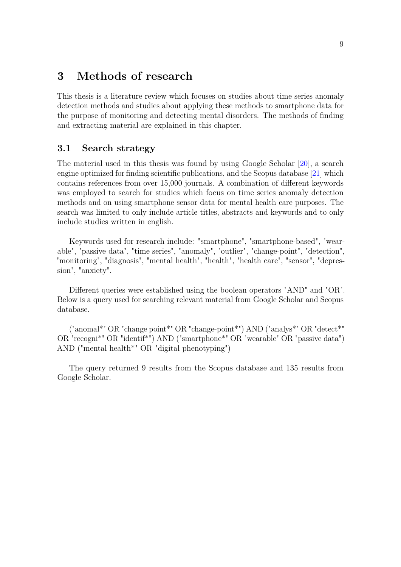## <span id="page-8-0"></span>**3 Methods of research**

This thesis is a literature review which focuses on studies about time series anomaly detection methods and studies about applying these methods to smartphone data for the purpose of monitoring and detecting mental disorders. The methods of finding and extracting material are explained in this chapter.

## <span id="page-8-1"></span>**3.1 Search strategy**

The material used in this thesis was found by using Google Scholar [\[20\]](#page-23-6), a search engine optimized for finding scientific publications, and the Scopus database [\[21\]](#page-23-7) which contains references from over 15,000 journals. A combination of different keywords was employed to search for studies which focus on time series anomaly detection methods and on using smartphone sensor data for mental health care purposes. The search was limited to only include article titles, abstracts and keywords and to only include studies written in english.

Keywords used for research include: "smartphone", "smartphone-based", "wearable", "passive data", "time series", "anomaly", "outlier", "change-point", "detection", "monitoring", "diagnosis", "mental health", "health", "health care", "sensor", "depression", "anxiety".

Different queries were established using the boolean operators "AND" and "OR". Below is a query used for searching relevant material from Google Scholar and Scopus database.

("anomal\*" OR "change point\*" OR "change-point\*") AND ("analys\*" OR "detect\*" OR "recogni\*" OR "identif\*") AND ("smartphone\*" OR "wearable" OR "passive data") AND ("mental health\*" OR "digital phenotyping")

The query returned 9 results from the Scopus database and 135 results from Google Scholar.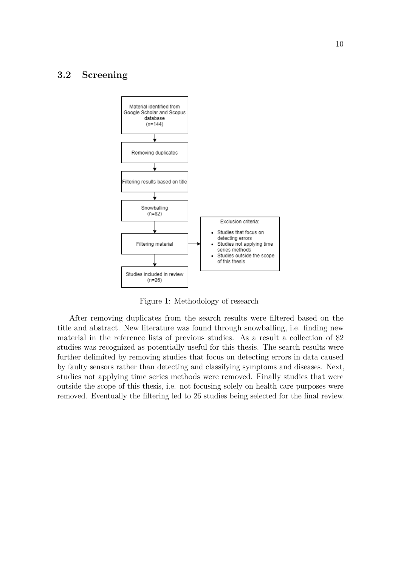## <span id="page-9-0"></span>**3.2 Screening**



Figure 1: Methodology of research

After removing duplicates from the search results were filtered based on the title and abstract. New literature was found through snowballing, i.e. finding new material in the reference lists of previous studies. As a result a collection of 82 studies was recognized as potentially useful for this thesis. The search results were further delimited by removing studies that focus on detecting errors in data caused by faulty sensors rather than detecting and classifying symptoms and diseases. Next, studies not applying time series methods were removed. Finally studies that were outside the scope of this thesis, i.e. not focusing solely on health care purposes were removed. Eventually the filtering led to 26 studies being selected for the final review.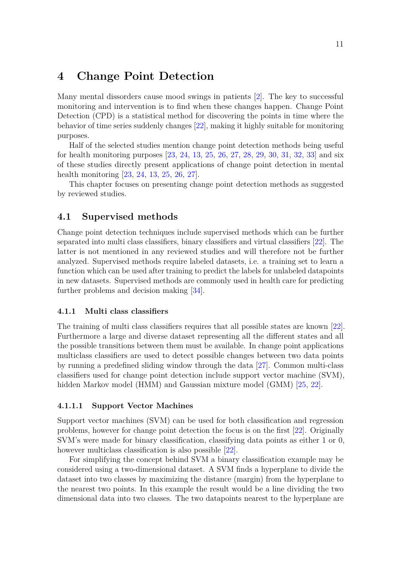## <span id="page-10-0"></span>**4 Change Point Detection**

Many mental dissorders cause mood swings in patients [\[2\]](#page-22-2). The key to successful monitoring and intervention is to find when these changes happen. Change Point Detection (CPD) is a statistical method for discovering the points in time where the behavior of time series suddenly changes [\[22\]](#page-23-8), making it highly suitable for monitoring purposes.

Half of the selected studies mention change point detection methods being useful for health monitoring purposes [\[23,](#page-23-9) [24,](#page-23-10) [13,](#page-22-13) [25,](#page-23-11) [26,](#page-23-12) [27,](#page-23-13) [28,](#page-24-0) [29,](#page-24-1) [30,](#page-24-2) [31,](#page-24-3) [32,](#page-24-4) [33\]](#page-24-5) and six of these studies directly present applications of change point detection in mental health monitoring [\[23,](#page-23-9) [24,](#page-23-10) [13,](#page-22-13) [25,](#page-23-11) [26,](#page-23-12) [27\]](#page-23-13).

This chapter focuses on presenting change point detection methods as suggested by reviewed studies.

## <span id="page-10-1"></span>**4.1 Supervised methods**

Change point detection techniques include supervised methods which can be further separated into multi class classifiers, binary classifiers and virtual classifiers [\[22\]](#page-23-8). The latter is not mentioned in any reviewed studies and will therefore not be further analyzed. Supervised methods require labeled datasets, i.e. a training set to learn a function which can be used after training to predict the labels for unlabeled datapoints in new datasets. Supervised methods are commonly used in health care for predicting further problems and decision making [\[34\]](#page-24-6).

#### <span id="page-10-2"></span>**4.1.1 Multi class classifiers**

The training of multi class classifiers requires that all possible states are known [\[22\]](#page-23-8). Furthermore a large and diverse dataset representing all the different states and all the possible transitions between them must be available. In change point applications multiclass classifiers are used to detect possible changes between two data points by running a predefined sliding window through the data [\[27\]](#page-23-13). Common multi-class classifiers used for change point detection include support vector machine (SVM), hidden Markov model (HMM) and Gaussian mixture model (GMM) [\[25,](#page-23-11) [22\]](#page-23-8).

#### **4.1.1.1 Support Vector Machines**

Support vector machines (SVM) can be used for both classification and regression problems, however for change point detection the focus is on the first [\[22\]](#page-23-8). Originally SVM's were made for binary classification, classifying data points as either 1 or 0, however multiclass classification is also possible [\[22\]](#page-23-8).

For simplifying the concept behind SVM a binary classification example may be considered using a two-dimensional dataset. A SVM finds a hyperplane to divide the dataset into two classes by maximizing the distance (margin) from the hyperplane to the nearest two points. In this example the result would be a line dividing the two dimensional data into two classes. The two datapoints nearest to the hyperplane are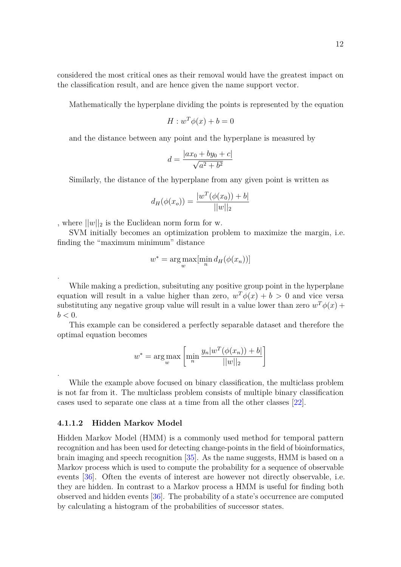considered the most critical ones as their removal would have the greatest impact on the classification result, and are hence given the name support vector.

Mathematically the hyperplane dividing the points is represented by the equation

$$
H: w^T \phi(x) + b = 0
$$

and the distance between any point and the hyperplane is measured by

$$
d = \frac{|ax_0 + by_0 + c|}{\sqrt{a^2 + b^2}}
$$

Similarly, the distance of the hyperplane from any given point is written as

$$
d_H(\phi(x_o)) = \frac{|w^T(\phi(x_0)) + b|}{||w||_2}
$$

, where  $||w||_2$  is the Euclidean norm form for w.

SVM initially becomes an optimization problem to maximize the margin, i.e. finding the "maximum minimum" distance

$$
w^* = \arg\max_{w} [\min_{n} d_H(\phi(x_n))]
$$

While making a prediction, subsituting any positive group point in the hyperplane equation will result in a value higher than zero,  $w^T \phi(x) + b > 0$  and vice versa substituting any negative group value will result in a value lower than zero  $w^T \phi(x)$  +  $b < 0$ .

This example can be considered a perfectly separable dataset and therefore the optimal equation becomes

$$
w^* = \arg\max_{w} \left[ \min_{n} \frac{y_n | w^T(\phi(x_n)) + b|}{||w||_2} \right]
$$

While the example above focused on binary classification, the multiclass problem is not far from it. The multiclass problem consists of multiple binary classification cases used to separate one class at a time from all the other classes [\[22\]](#page-23-8).

#### **4.1.1.2 Hidden Markov Model**

.

.

Hidden Markov Model (HMM) is a commonly used method for temporal pattern recognition and has been used for detecting change-points in the field of bioinformatics, brain imaging and speech recognition [\[35\]](#page-24-7). As the name suggests, HMM is based on a Markov process which is used to compute the probability for a sequence of observable events [\[36\]](#page-24-8). Often the events of interest are however not directly observable, i.e. they are hidden. In contrast to a Markov process a HMM is useful for finding both observed and hidden events [\[36\]](#page-24-8). The probability of a state's occurrence are computed by calculating a histogram of the probabilities of successor states.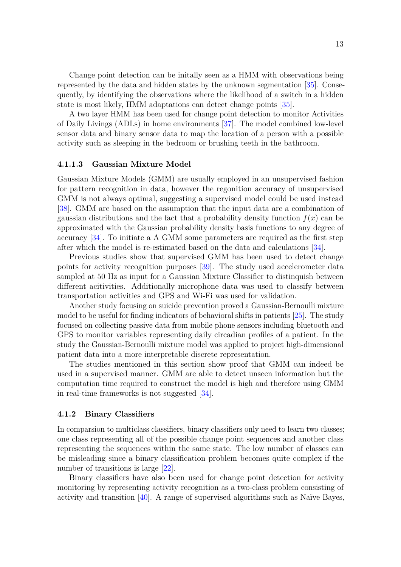Change point detection can be initally seen as a HMM with observations being represented by the data and hidden states by the unknown segmentation [\[35\]](#page-24-7). Consequently, by identifying the observations where the likelihood of a switch in a hidden state is most likely, HMM adaptations can detect change points [\[35\]](#page-24-7).

A two layer HMM has been used for change point detection to monitor Activities of Daily Livings (ADLs) in home environments [\[37\]](#page-24-9). The model combined low-level sensor data and binary sensor data to map the location of a person with a possible activity such as sleeping in the bedroom or brushing teeth in the bathroom.

#### **4.1.1.3 Gaussian Mixture Model**

Gaussian Mixture Models (GMM) are usually employed in an unsupervised fashion for pattern recognition in data, however the regonition accuracy of unsupervised GMM is not always optimal, suggesting a supervised model could be used instead [\[38\]](#page-24-10). GMM are based on the assumption that the input data are a combination of gaussian distributions and the fact that a probability density function  $f(x)$  can be approximated with the Gaussian probability density basis functions to any degree of accuracy [\[34\]](#page-24-6). To initiate a A GMM some parameters are required as the first step after which the model is re-estimated based on the data and calculations [\[34\]](#page-24-6).

Previous studies show that supervised GMM has been used to detect change points for activity recognition purposes [\[39\]](#page-24-11). The study used accelerometer data sampled at 50 Hz as input for a Gaussian Mixture Classifier to distinquish between different acitivities. Additionally microphone data was used to classify between transportation activities and GPS and Wi-Fi was used for validation.

Another study focusing on suicide prevention proved a Gaussian-Bernoulli mixture model to be useful for finding indicators of behavioral shifts in patients [\[25\]](#page-23-11). The study focused on collecting passive data from mobile phone sensors including bluetooth and GPS to monitor variables representing daily circadian profiles of a patient. In the study the Gaussian-Bernoulli mixture model was applied to project high-dimensional patient data into a more interpretable discrete representation.

The studies mentioned in this section show proof that GMM can indeed be used in a supervised manner. GMM are able to detect unseen information but the computation time required to construct the model is high and therefore using GMM in real-time frameworks is not suggested [\[34\]](#page-24-6).

#### <span id="page-12-0"></span>**4.1.2 Binary Classifiers**

In comparsion to multiclass classifiers, binary classifiers only need to learn two classes; one class representing all of the possible change point sequences and another class representing the sequences within the same state. The low number of classes can be misleading since a binary classification problem becomes quite complex if the number of transitions is large [\[22\]](#page-23-8).

Binary classifiers have also been used for change point detection for activity monitoring by representing activity recognition as a two-class problem consisting of activity and transition [\[40\]](#page-24-12). A range of supervised algorithms such as Naïve Bayes,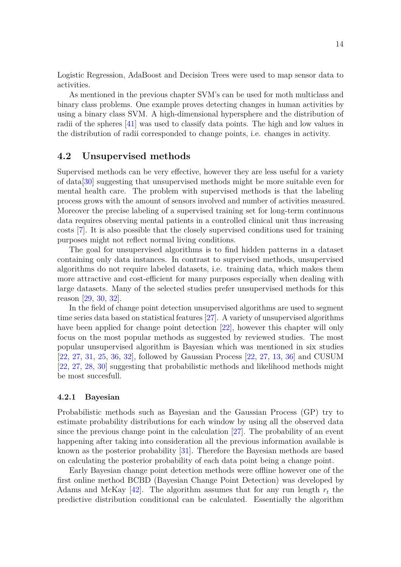Logistic Regression, AdaBoost and Decision Trees were used to map sensor data to activities.

As mentioned in the previous chapter SVM's can be used for moth multiclass and binary class problems. One example proves detecting changes in human activities by using a binary class SVM. A high-dimensional hypersphere and the distribution of radii of the spheres [\[41\]](#page-25-0) was used to classify data points. The high and low values in the distribution of radii corresponded to change points, i.e. changes in activity.

### <span id="page-13-0"></span>**4.2 Unsupervised methods**

Supervised methods can be very effective, however they are less useful for a variety of data[\[30\]](#page-24-2) suggesting that unsupervised methods might be more suitable even for mental health care. The problem with supervised methods is that the labeling process grows with the amount of sensors involved and number of activities measured. Moreover the precise labeling of a supervised training set for long-term continuous data requires observing mental patients in a controlled clinical unit thus increasing costs [\[7\]](#page-22-7). It is also possible that the closely supervised conditions used for training purposes might not reflect normal living conditions.

The goal for unsupervised algorithms is to find hidden patterns in a dataset containing only data instances. In contrast to supervised methods, unsupervised algorithms do not require labeled datasets, i.e. training data, which makes them more attractive and cost-efficient for many purposes especially when dealing with large datasets. Many of the selected studies prefer unsupervised methods for this reason [\[29,](#page-24-1) [30,](#page-24-2) [32\]](#page-24-4).

In the field of change point detection unsupervised algorithms are used to segment time series data based on statistical features [\[27\]](#page-23-13). A variety of unsupervised algorithms have been applied for change point detection [\[22\]](#page-23-8), however this chapter will only focus on the most popular methods as suggested by reviewed studies. The most popular unsupervised algorithm is Bayesian which was mentioned in six studies [\[22,](#page-23-8) [27,](#page-23-13) [31,](#page-24-3) [25,](#page-23-11) [36,](#page-24-8) [32\]](#page-24-4), followed by Gaussian Process [\[22,](#page-23-8) [27,](#page-23-13) [13,](#page-22-13) [36\]](#page-24-8) and CUSUM [\[22,](#page-23-8) [27,](#page-23-13) [28,](#page-24-0) [30\]](#page-24-2) suggesting that probabilistic methods and likelihood methods might be most succesfull.

#### <span id="page-13-1"></span>**4.2.1 Bayesian**

Probabilistic methods such as Bayesian and the Gaussian Process (GP) try to estimate probability distributions for each window by using all the observed data since the previous change point in the calculation [\[27\]](#page-23-13). The probability of an event happening after taking into consideration all the previous information available is known as the posterior probability [\[31\]](#page-24-3). Therefore the Bayesian methods are based on calculating the posterior probability of each data point being a change point.

Early Bayesian change point detection methods were offline however one of the first online method BCBD (Bayesian Change Point Detection) was developed by Adams and McKay  $[42]$ . The algorithm assumes that for any run length  $r<sub>t</sub>$  the predictive distribution conditional can be calculated. Essentially the algorithm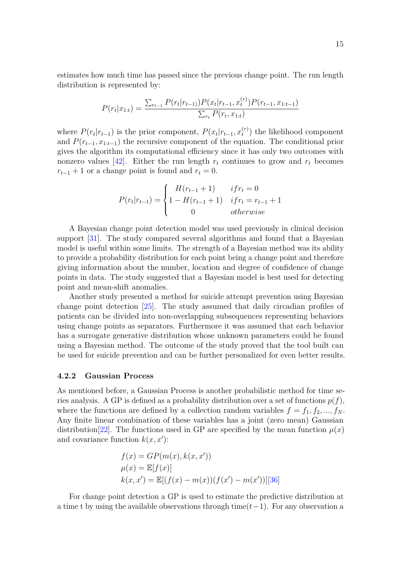estimates how much time has passed since the previous change point. The run length distribution is represented by:

$$
P(r_t|x_{1:t}) = \frac{\sum_{r_{t-1}} P(r_t|r_{t-1}) P(x_t|r_{t-1}, x_t^{(r)}) P(r_{t-1}, x_{1:t-1})}{\sum_{r_t} P(r_t, x_{1:t})}
$$

where  $P(r_t|r_{t-1})$  is the prior component,  $P(x_t|r_{t-1}, x_t^{(r)})$ *t* ) the likelihood component and  $P(r_{t-1}, x_{1:t-1})$  the recursive component of the equation. The conditional prior gives the algorithm its computational efficiency since it has only two outcomes with nonzero values [\[42\]](#page-25-1). Either the run length  $r_t$  continues to grow and  $r_t$  becomes  $r_{t-1} + 1$  or a change point is found and  $r_t = 0$ .

$$
P(r_t|r_{t-1}) = \begin{cases} H(r_{t-1} + 1) & if r_t = 0\\ 1 - H(r_{t-1} + 1) & if r_t = r_{t-1} + 1\\ 0 & otherwise \end{cases}
$$

A Bayesian change point detection model was used previously in clinical decision support [\[31\]](#page-24-3). The study compared several algorithms and found that a Bayesian model is useful within some limits. The strength of a Bayesian method was its ability to provide a probability distribution for each point being a change point and therefore giving information about the number, location and degree of confidence of change points in data. The study suggested that a Bayesian model is best used for detecting point and mean-shift anomalies.

Another study presented a method for suicide attempt prevention using Bayesian change point detection [\[25\]](#page-23-11). The study assumed that daily circadian profiles of patients can be divided into non-overlapping subsequences representing behaviors using change points as separators. Furthermore it was assumed that each behavior has a surrogate generative distribution whose unknown parameters could be found using a Bayesian method. The outcome of the study proved that the tool built can be used for suicide prevention and can be further personalized for even better results.

#### <span id="page-14-0"></span>**4.2.2 Gaussian Process**

As mentioned before, a Gaussian Process is another probabilistic method for time series analysis. A GP is defined as a probability distribution over a set of functions  $p(f)$ , where the functions are defined by a collection random variables  $f = f_1, f_2, ..., f_N$ . Any finite linear combination of these variables has a joint (zero mean) Gaussian distribution<sup>[\[22\]](#page-23-8)</sup>. The functions used in GP are specified by the mean function  $\mu(x)$ and covariance function  $k(x, x')$ :

$$
f(x) = GP(m(x), k(x, x'))
$$
  
\n
$$
\mu(x) = \mathbb{E}[f(x)]
$$
  
\n
$$
k(x, x') = \mathbb{E}[(f(x) - m(x))(f(x') - m(x'))][36]
$$

For change point detection a GP is used to estimate the predictive distribution at a time t by using the available observations through time(*t*−1). For any observation a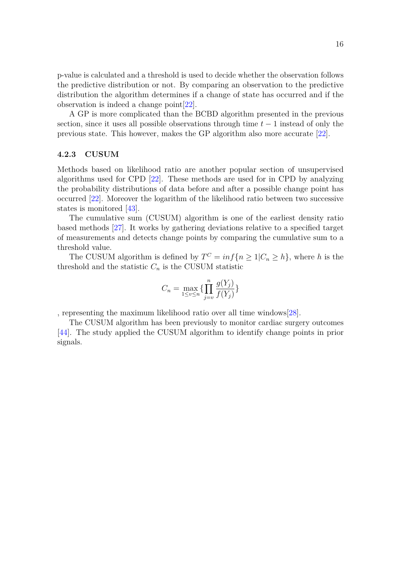p-value is calculated and a threshold is used to decide whether the observation follows the predictive distribution or not. By comparing an observation to the predictive distribution the algorithm determines if a change of state has occurred and if the observation is indeed a change point[\[22\]](#page-23-8).

A GP is more complicated than the BCBD algorithm presented in the previous section, since it uses all possible observations through time *t* − 1 instead of only the previous state. This however, makes the GP algorithm also more accurate [\[22\]](#page-23-8).

#### <span id="page-15-0"></span>**4.2.3 CUSUM**

Methods based on likelihood ratio are another popular section of unsupervised algorithms used for CPD [\[22\]](#page-23-8). These methods are used for in CPD by analyzing the probability distributions of data before and after a possible change point has occurred [\[22\]](#page-23-8). Moreover the logarithm of the likelihood ratio between two successive states is monitored [\[43\]](#page-25-2).

The cumulative sum (CUSUM) algorithm is one of the earliest density ratio based methods [\[27\]](#page-23-13). It works by gathering deviations relative to a specified target of measurements and detects change points by comparing the cumulative sum to a threshold value.

The CUSUM algorithm is defined by  $T^C = inf\{n \geq 1 | C_n \geq h\}$ , where *h* is the threshold and the statistic  $C_n$  is the CUSUM statistic

$$
C_n = \max_{1 \le v \le n} \{ \prod_{j=v}^n \frac{g(Y_j)}{f(Y_j)} \}
$$

, representing the maximum likelihood ratio over all time windows[\[28\]](#page-24-0).

The CUSUM algorithm has been previously to monitor cardiac surgery outcomes [\[44\]](#page-25-3). The study applied the CUSUM algorithm to identify change points in prior signals.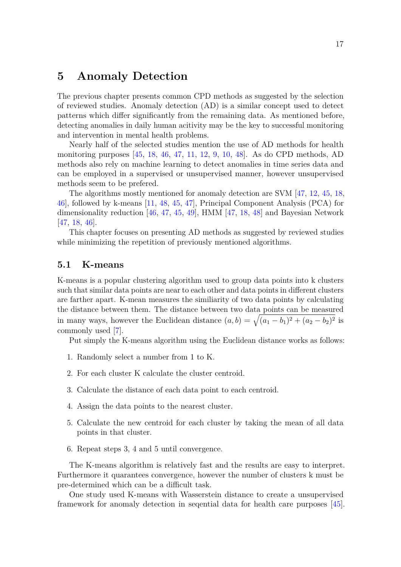## <span id="page-16-0"></span>**5 Anomaly Detection**

The previous chapter presents common CPD methods as suggested by the selection of reviewed studies. Anomaly detection (AD) is a similar concept used to detect patterns which differ significantly from the remaining data. As mentioned before, detecting anomalies in daily human acitivity may be the key to successful monitoring and intervention in mental health problems.

Nearly half of the selected studies mention the use of AD methods for health monitoring purposes [\[45,](#page-25-4) [18,](#page-23-4) [46,](#page-25-5) [47,](#page-25-6) [11,](#page-22-11) [12,](#page-22-12) [9,](#page-22-9) [10,](#page-22-10) [48\]](#page-25-7). As do CPD methods, AD methods also rely on machine learning to detect anomalies in time series data and can be employed in a supervised or unsupervised manner, however unsupervised methods seem to be prefered.

The algorithms mostly mentioned for anomaly detection are SVM [\[47,](#page-25-6) [12,](#page-22-12) [45,](#page-25-4) [18,](#page-23-4) [46\]](#page-25-5), followed by k-means [\[11,](#page-22-11) [48,](#page-25-7) [45,](#page-25-4) [47\]](#page-25-6), Principal Component Analysis (PCA) for dimensionality reduction [\[46,](#page-25-5) [47,](#page-25-6) [45,](#page-25-4) [49\]](#page-25-8), HMM [\[47,](#page-25-6) [18,](#page-23-4) [48\]](#page-25-7) and Bayesian Network [\[47,](#page-25-6) [18,](#page-23-4) [46\]](#page-25-5).

This chapter focuses on presenting AD methods as suggested by reviewed studies while minimizing the repetition of previously mentioned algorithms.

## <span id="page-16-1"></span>**5.1 K-means**

K-means is a popular clustering algorithm used to group data points into k clusters such that similar data points are near to each other and data points in different clusters are farther apart. K-mean measures the similiarity of two data points by calculating the distance between them. The distance between two data points can be measured in many ways, however the Euclidean distance  $(a, b) = \sqrt{(a_1 - b_1)^2 + (a_2 - b_2)^2}$  is commonly used [\[7\]](#page-22-7).

Put simply the K-means algorithm using the Euclidean distance works as follows:

- 1. Randomly select a number from 1 to K.
- 2. For each cluster K calculate the cluster centroid.
- 3. Calculate the distance of each data point to each centroid.
- 4. Assign the data points to the nearest cluster.
- 5. Calculate the new centroid for each cluster by taking the mean of all data points in that cluster.
- 6. Repeat steps 3, 4 and 5 until convergence.

The K-means algorithm is relatively fast and the results are easy to interpret. Furthermore it quarantees convergence, however the number of clusters k must be pre-determined which can be a difficult task.

One study used K-means with Wasserstein distance to create a unsupervised framework for anomaly detection in seqential data for health care purposes [\[45\]](#page-25-4).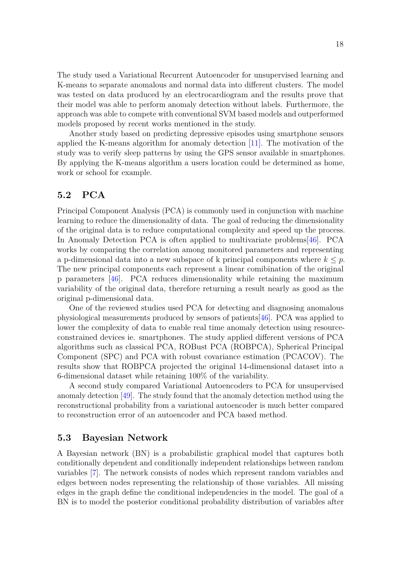The study used a Variational Recurrent Autoencoder for unsupervised learning and K-means to separate anomalous and normal data into different clusters. The model was tested on data produced by an electrocardiogram and the results prove that their model was able to perform anomaly detection without labels. Furthermore, the approach was able to compete with conventional SVM based models and outperformed models proposed by recent works mentioned in the study.

Another study based on predicting depressive episodes using smartphone sensors applied the K-means algorithm for anomaly detection [\[11\]](#page-22-11). The motivation of the study was to verify sleep patterns by using the GPS sensor available in smartphones. By applying the K-means algorithm a users location could be determined as home, work or school for example.

## <span id="page-17-0"></span>**5.2 PCA**

Principal Component Analysis (PCA) is commonly used in conjunction with machine learning to reduce the dimensionality of data. The goal of reducing the dimensionality of the original data is to reduce computational complexity and speed up the process. In Anomaly Detection PCA is often applied to multivariate problems[\[46\]](#page-25-5). PCA works by comparing the correlation among monitored parameters and representing a p-dimensional data into a new subspace of k principal components where  $k \leq p$ . The new principal components each represent a linear comibination of the original p parameters [\[46\]](#page-25-5). PCA reduces dimensionality while retaining the maximum variability of the original data, therefore returning a result nearly as good as the original p-dimensional data.

One of the reviewed studies used PCA for detecting and diagnosing anomalous physiological measurements produced by sensors of patients[\[46\]](#page-25-5). PCA was applied to lower the complexity of data to enable real time anomaly detection using resourceconstrained devices ie. smartphones. The study applied different versions of PCA algorithms such as classical PCA, ROBust PCA (ROBPCA), Spherical Principal Component (SPC) and PCA with robust covariance estimation (PCACOV). The results show that ROBPCA projected the original 14-dimensional dataset into a 6-dimensional dataset while retaining 100% of the variability.

A second study compared Variational Autoencoders to PCA for unsupervised anomaly detection [\[49\]](#page-25-8). The study found that the anomaly detection method using the reconstructional probability from a variational autoencoder is much better compared to reconstruction error of an autoencoder and PCA based method.

## <span id="page-17-1"></span>**5.3 Bayesian Network**

A Bayesian network (BN) is a probabilistic graphical model that captures both conditionally dependent and conditionally independent relationships between random variables [\[7\]](#page-22-7). The network consists of nodes which represent random variables and edges between nodes representing the relationship of those variables. All missing edges in the graph define the conditional independencies in the model. The goal of a BN is to model the posterior conditional probability distribution of variables after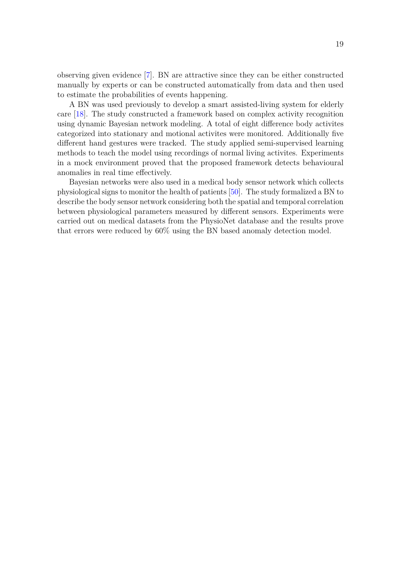observing given evidence [\[7\]](#page-22-7). BN are attractive since they can be either constructed manually by experts or can be constructed automatically from data and then used to estimate the probabilities of events happening.

A BN was used previously to develop a smart assisted-living system for elderly care [\[18\]](#page-23-4). The study constructed a framework based on complex activity recognition using dynamic Bayesian network modeling. A total of eight difference body activites categorized into stationary and motional activites were monitored. Additionally five different hand gestures were tracked. The study applied semi-supervised learning methods to teach the model using recordings of normal living activites. Experiments in a mock environment proved that the proposed framework detects behavioural anomalies in real time effectively.

Bayesian networks were also used in a medical body sensor network which collects physiological signs to monitor the health of patients [\[50\]](#page-25-9). The study formalized a BN to describe the body sensor network considering both the spatial and temporal correlation between physiological parameters measured by different sensors. Experiments were carried out on medical datasets from the PhysioNet database and the results prove that errors were reduced by 60% using the BN based anomaly detection model.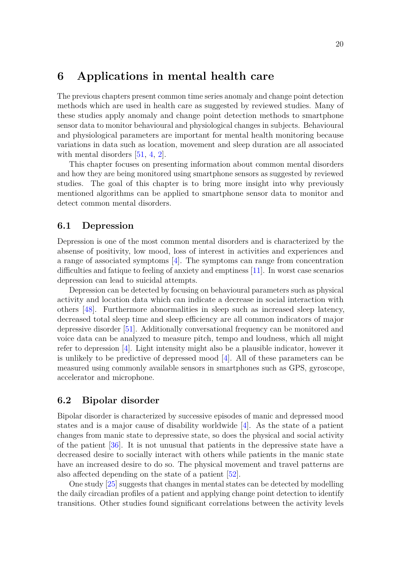## <span id="page-19-0"></span>**6 Applications in mental health care**

The previous chapters present common time series anomaly and change point detection methods which are used in health care as suggested by reviewed studies. Many of these studies apply anomaly and change point detection methods to smartphone sensor data to monitor behavioural and physiological changes in subjects. Behavioural and physiological parameters are important for mental health monitoring because variations in data such as location, movement and sleep duration are all associated with mental disorders [\[51,](#page-25-10) [4,](#page-22-4) [2\]](#page-22-2).

This chapter focuses on presenting information about common mental disorders and how they are being monitored using smartphone sensors as suggested by reviewed studies. The goal of this chapter is to bring more insight into why previously mentioned algorithms can be applied to smartphone sensor data to monitor and detect common mental disorders.

## <span id="page-19-1"></span>**6.1 Depression**

Depression is one of the most common mental disorders and is characterized by the absense of positivity, low mood, loss of interest in activities and experiences and a range of associated symptoms [\[4\]](#page-22-4). The symptoms can range from concentration difficulties and fatique to feeling of anxiety and emptiness [\[11\]](#page-22-11). In worst case scenarios depression can lead to suicidal attempts.

Depression can be detected by focusing on behavioural parameters such as physical activity and location data which can indicate a decrease in social interaction with others [\[48\]](#page-25-7). Furthermore abnormalities in sleep such as increased sleep latency, decreased total sleep time and sleep efficiency are all common indicators of major depressive disorder [\[51\]](#page-25-10). Additionally conversational frequency can be monitored and voice data can be analyzed to measure pitch, tempo and loudness, which all might refer to depression [\[4\]](#page-22-4). Light intensity might also be a plausible indicator, however it is unlikely to be predictive of depressed mood [\[4\]](#page-22-4). All of these parameters can be measured using commonly available sensors in smartphones such as GPS, gyroscope, accelerator and microphone.

## <span id="page-19-2"></span>**6.2 Bipolar disorder**

Bipolar disorder is characterized by successive episodes of manic and depressed mood states and is a major cause of disability worldwide [\[4\]](#page-22-4). As the state of a patient changes from manic state to depressive state, so does the physical and social activity of the patient [\[36\]](#page-24-8). It is not unusual that patients in the depressive state have a decreased desire to socially interact with others while patients in the manic state have an increased desire to do so. The physical movement and travel patterns are also affected depending on the state of a patient [\[52\]](#page-25-11).

One study [\[25\]](#page-23-11) suggests that changes in mental states can be detected by modelling the daily circadian profiles of a patient and applying change point detection to identify transitions. Other studies found significant correlations between the activity levels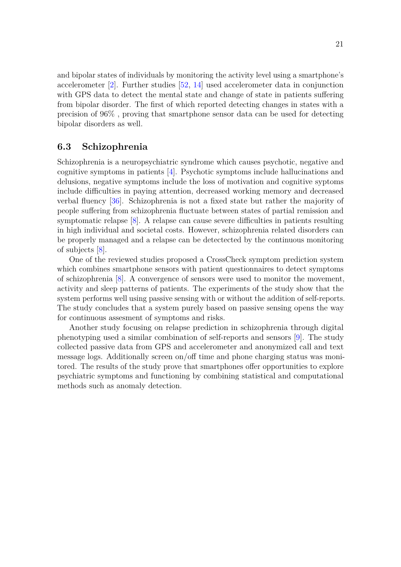and bipolar states of individuals by monitoring the activity level using a smartphone's accelerometer [\[2\]](#page-22-2). Further studies [\[52,](#page-25-11) [14\]](#page-23-0) used accelerometer data in conjunction with GPS data to detect the mental state and change of state in patients suffering from bipolar disorder. The first of which reported detecting changes in states with a precision of 96% , proving that smartphone sensor data can be used for detecting bipolar disorders as well.

### <span id="page-20-0"></span>**6.3 Schizophrenia**

Schizophrenia is a neuropsychiatric syndrome which causes psychotic, negative and cognitive symptoms in patients [\[4\]](#page-22-4). Psychotic symptoms include hallucinations and delusions, negative symptoms include the loss of motivation and cognitive syptoms include difficulties in paying attention, decreased working memory and decreased verbal fluency [\[36\]](#page-24-8). Schizophrenia is not a fixed state but rather the majority of people suffering from schizophrenia fluctuate between states of partial remission and symptomatic relapse [\[8\]](#page-22-8). A relapse can cause severe difficulties in patients resulting in high individual and societal costs. However, schizophrenia related disorders can be properly managed and a relapse can be detectected by the continuous monitoring of subjects [\[8\]](#page-22-8).

One of the reviewed studies proposed a CrossCheck symptom prediction system which combines smartphone sensors with patient questionnaires to detect symptoms of schizophrenia [\[8\]](#page-22-8). A convergence of sensors were used to monitor the movement, activity and sleep patterns of patients. The experiments of the study show that the system performs well using passive sensing with or without the addition of self-reports. The study concludes that a system purely based on passive sensing opens the way for continuous assesment of symptoms and risks.

Another study focusing on relapse prediction in schizophrenia through digital phenotyping used a similar combination of self-reports and sensors [\[9\]](#page-22-9). The study collected passive data from GPS and accelerometer and anonymized call and text message logs. Additionally screen on/off time and phone charging status was monitored. The results of the study prove that smartphones offer opportunities to explore psychiatric symptoms and functioning by combining statistical and computational methods such as anomaly detection.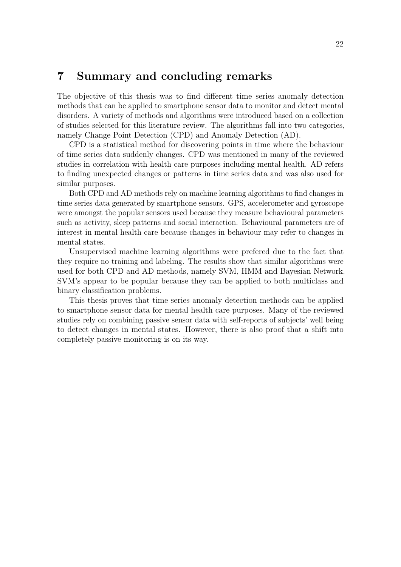## <span id="page-21-0"></span>**7 Summary and concluding remarks**

The objective of this thesis was to find different time series anomaly detection methods that can be applied to smartphone sensor data to monitor and detect mental disorders. A variety of methods and algorithms were introduced based on a collection of studies selected for this literature review. The algorithms fall into two categories, namely Change Point Detection (CPD) and Anomaly Detection (AD).

CPD is a statistical method for discovering points in time where the behaviour of time series data suddenly changes. CPD was mentioned in many of the reviewed studies in correlation with health care purposes including mental health. AD refers to finding unexpected changes or patterns in time series data and was also used for similar purposes.

Both CPD and AD methods rely on machine learning algorithms to find changes in time series data generated by smartphone sensors. GPS, accelerometer and gyroscope were amongst the popular sensors used because they measure behavioural parameters such as activity, sleep patterns and social interaction. Behavioural parameters are of interest in mental health care because changes in behaviour may refer to changes in mental states.

Unsupervised machine learning algorithms were prefered due to the fact that they require no training and labeling. The results show that similar algorithms were used for both CPD and AD methods, namely SVM, HMM and Bayesian Network. SVM's appear to be popular because they can be applied to both multiclass and binary classification problems.

This thesis proves that time series anomaly detection methods can be applied to smartphone sensor data for mental health care purposes. Many of the reviewed studies rely on combining passive sensor data with self-reports of subjects' well being to detect changes in mental states. However, there is also proof that a shift into completely passive monitoring is on its way.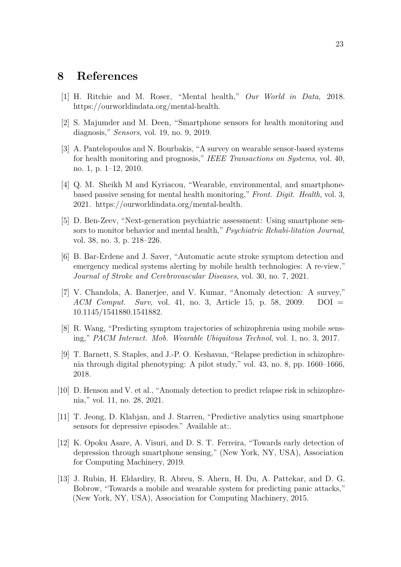## <span id="page-22-0"></span>**8 References**

- <span id="page-22-1"></span>[1] H. Ritchie and M. Roser, "Mental health," *Our World in Data*, 2018. https://ourworldindata.org/mental-health.
- <span id="page-22-2"></span>[2] S. Majumder and M. Deen, "Smartphone sensors for health monitoring and diagnosis," *Sensors*, vol. 19, no. 9, 2019.
- <span id="page-22-3"></span>[3] A. Pantelopoulos and N. Bourbakis, "A survey on wearable sensor-based systems for health monitoring and prognosis," *IEEE Transactions on Systems*, vol. 40, no. 1, p. 1–12, 2010.
- <span id="page-22-4"></span>[4] Q. M. Sheikh M and Kyriacou, "Wearable, environmental, and smartphonebased passive sensing for mental health monitoring," *Front. Digit. Health*, vol. 3, 2021. https://ourworldindata.org/mental-health.
- <span id="page-22-5"></span>[5] D. Ben-Zeev, "Next-generation psychiatric assessment: Using smartphone sensors to monitor behavior and mental health," *Psychiatric Rehabi-litation Journal*, vol. 38, no. 3, p. 218–226.
- <span id="page-22-6"></span>[6] B. Bar-Erdene and J. Saver, "Automatic acute stroke symptom detection and emergency medical systems alerting by mobile health technologies: A re-view," *Journal of Stroke and Cerebrovascular Diseases*, vol. 30, no. 7, 2021.
- <span id="page-22-7"></span>[7] V. Chandola, A. Banerjee, and V. Kumar, "Anomaly detection: A survey," *ACM Comput. Surv*, vol. 41, no. 3, Article 15, p. 58, 2009. DOI = 10.1145/1541880.1541882.
- <span id="page-22-8"></span>[8] R. Wang, "Predicting symptom trajectories of schizophrenia using mobile sensing," *PACM Interact. Mob. Wearable Ubiquitous Technol*, vol. 1, no. 3, 2017.
- <span id="page-22-9"></span>[9] T. Barnett, S. Staples, and J.-P. O. Keshavan, "Relapse prediction in schizophrenia through digital phenotyping: A pilot study," vol. 43, no. 8, pp. 1660–1666, 2018.
- <span id="page-22-10"></span>[10] D. Henson and V. et al., "Anomaly detection to predict relapse risk in schizophrenia," vol. 11, no. 28, 2021.
- <span id="page-22-11"></span>[11] T. Jeong, D. Klabjan, and J. Starren, "Predictive analytics using smartphone sensors for depressive episodes." Available at:.
- <span id="page-22-12"></span>[12] K. Opoku Asare, A. Visuri, and D. S. T. Ferreira, "Towards early detection of depression through smartphone sensing," (New York, NY, USA), Association for Computing Machinery, 2019.
- <span id="page-22-13"></span>[13] J. Rubin, H. Eldardiry, R. Abreu, S. Ahern, H. Du, A. Pattekar, and D. G. Bobrow, "Towards a mobile and wearable system for predicting panic attacks," (New York, NY, USA), Association for Computing Machinery, 2015.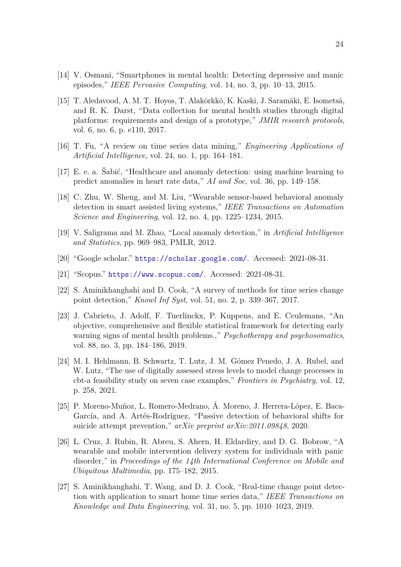- <span id="page-23-0"></span>[14] V. Osmani, "Smartphones in mental health: Detecting depressive and manic episodes," *IEEE Pervasive Computing*, vol. 14, no. 3, pp. 10–13, 2015.
- <span id="page-23-1"></span>[15] T. Aledavood, A. M. T. Hoyos, T. Alakörkkö, K. Kaski, J. Saramäki, E. Isometsä, and R. K. Darst, "Data collection for mental health studies through digital platforms: requirements and design of a prototype," *JMIR research protocols*, vol. 6, no. 6, p. e110, 2017.
- <span id="page-23-2"></span>[16] T. Fu, "A review on time series data mining," *Engineering Applications of Artificial Intelligence*, vol. 24, no. 1, pp. 164–181.
- <span id="page-23-3"></span>[17] E. e. a. Šabić, "Healthcare and anomaly detection: using machine learning to predict anomalies in heart rate data," *AI and Soc*, vol. 36, pp. 149–158.
- <span id="page-23-4"></span>[18] C. Zhu, W. Sheng, and M. Liu, "Wearable sensor-based behavioral anomaly detection in smart assisted living systems," *IEEE Transactions on Automation Science and Engineering*, vol. 12, no. 4, pp. 1225–1234, 2015.
- <span id="page-23-5"></span>[19] V. Saligrama and M. Zhao, "Local anomaly detection," in *Artificial Intelligence and Statistics*, pp. 969–983, PMLR, 2012.
- <span id="page-23-6"></span>[20] "Google scholar." <https://scholar.google.com/>. Accessed: 2021-08-31.
- <span id="page-23-7"></span>[21] "Scopus." <https://www.scopus.com/>. Accessed: 2021-08-31.
- <span id="page-23-8"></span>[22] S. Aminikhanghahi and D. Cook, "A survey of methods for time series change point detection," *Knowl Inf Syst*, vol. 51, no. 2, p. 339–367, 2017.
- <span id="page-23-9"></span>[23] J. Cabrieto, J. Adolf, F. Tuerlinckx, P. Kuppens, and E. Ceulemans, "An objective, comprehensive and flexible statistical framework for detecting early warning signs of mental health problems.," *Psychotherapy and psychosomatics*, vol. 88, no. 3, pp. 184–186, 2019.
- <span id="page-23-10"></span>[24] M. I. Hehlmann, B. Schwartz, T. Lutz, J. M. Gómez Penedo, J. A. Rubel, and W. Lutz, "The use of digitally assessed stress levels to model change processes in cbt-a feasibility study on seven case examples," *Frontiers in Psychiatry*, vol. 12, p. 258, 2021.
- <span id="page-23-11"></span>[25] P. Moreno-Muñoz, L. Romero-Medrano, Á. Moreno, J. Herrera-López, E. Baca-García, and A. Artés-Rodríguez, "Passive detection of behavioral shifts for suicide attempt prevention," *arXiv preprint arXiv:2011.09848*, 2020.
- <span id="page-23-12"></span>[26] L. Cruz, J. Rubin, R. Abreu, S. Ahern, H. Eldardiry, and D. G. Bobrow, "A wearable and mobile intervention delivery system for individuals with panic disorder," in *Proceedings of the 14th International Conference on Mobile and Ubiquitous Multimedia*, pp. 175–182, 2015.
- <span id="page-23-13"></span>[27] S. Aminikhanghahi, T. Wang, and D. J. Cook, "Real-time change point detection with application to smart home time series data," *IEEE Transactions on Knowledge and Data Engineering*, vol. 31, no. 5, pp. 1010–1023, 2019.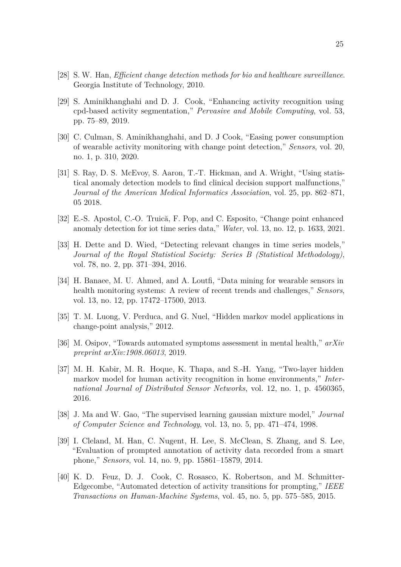- <span id="page-24-0"></span>[28] S. W. Han, *Efficient change detection methods for bio and healthcare surveillance*. Georgia Institute of Technology, 2010.
- <span id="page-24-1"></span>[29] S. Aminikhanghahi and D. J. Cook, "Enhancing activity recognition using cpd-based activity segmentation," *Pervasive and Mobile Computing*, vol. 53, pp. 75–89, 2019.
- <span id="page-24-2"></span>[30] C. Culman, S. Aminikhanghahi, and D. J Cook, "Easing power consumption of wearable activity monitoring with change point detection," *Sensors*, vol. 20, no. 1, p. 310, 2020.
- <span id="page-24-3"></span>[31] S. Ray, D. S. McEvoy, S. Aaron, T.-T. Hickman, and A. Wright, "Using statistical anomaly detection models to find clinical decision support malfunctions," *Journal of the American Medical Informatics Association*, vol. 25, pp. 862–871, 05 2018.
- <span id="page-24-4"></span>[32] E.-S. Apostol, C.-O. Truică, F. Pop, and C. Esposito, "Change point enhanced anomaly detection for iot time series data," *Water*, vol. 13, no. 12, p. 1633, 2021.
- <span id="page-24-5"></span>[33] H. Dette and D. Wied, "Detecting relevant changes in time series models," *Journal of the Royal Statistical Society: Series B (Statistical Methodology)*, vol. 78, no. 2, pp. 371–394, 2016.
- <span id="page-24-6"></span>[34] H. Banaee, M. U. Ahmed, and A. Loutfi, "Data mining for wearable sensors in health monitoring systems: A review of recent trends and challenges," *Sensors*, vol. 13, no. 12, pp. 17472–17500, 2013.
- <span id="page-24-7"></span>[35] T. M. Luong, V. Perduca, and G. Nuel, "Hidden markov model applications in change-point analysis," 2012.
- <span id="page-24-8"></span>[36] M. Osipov, "Towards automated symptoms assessment in mental health," *arXiv preprint arXiv:1908.06013*, 2019.
- <span id="page-24-9"></span>[37] M. H. Kabir, M. R. Hoque, K. Thapa, and S.-H. Yang, "Two-layer hidden markov model for human activity recognition in home environments," *International Journal of Distributed Sensor Networks*, vol. 12, no. 1, p. 4560365, 2016.
- <span id="page-24-10"></span>[38] J. Ma and W. Gao, "The supervised learning gaussian mixture model," *Journal of Computer Science and Technology*, vol. 13, no. 5, pp. 471–474, 1998.
- <span id="page-24-11"></span>[39] I. Cleland, M. Han, C. Nugent, H. Lee, S. McClean, S. Zhang, and S. Lee, "Evaluation of prompted annotation of activity data recorded from a smart phone," *Sensors*, vol. 14, no. 9, pp. 15861–15879, 2014.
- <span id="page-24-12"></span>[40] K. D. Feuz, D. J. Cook, C. Rosasco, K. Robertson, and M. Schmitter-Edgecombe, "Automated detection of activity transitions for prompting," *IEEE Transactions on Human-Machine Systems*, vol. 45, no. 5, pp. 575–585, 2015.